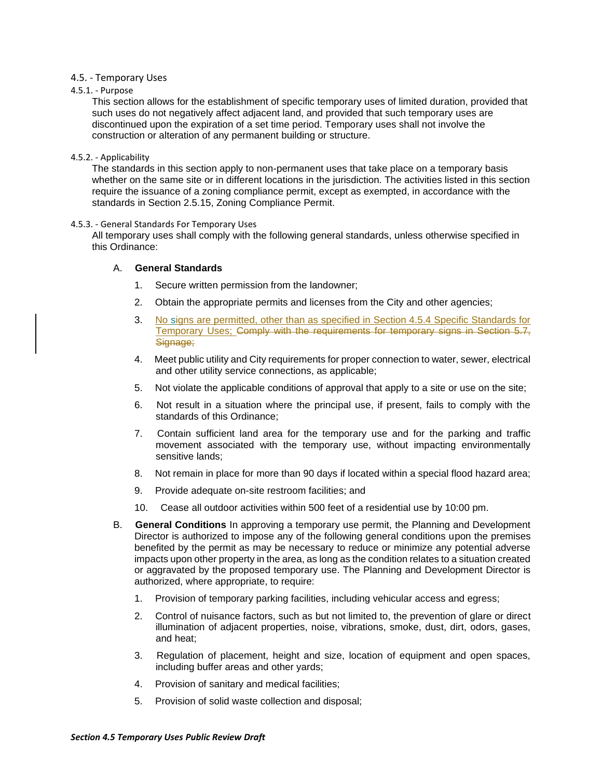### 4.5. - Temporary Uses

### 4.5.1. - Purpose

This section allows for the establishment of specific temporary uses of limited duration, provided that such uses do not negatively affect adjacent land, and provided that such temporary uses are discontinued upon the expiration of a set time period. Temporary uses shall not involve the construction or alteration of any permanent building or structure.

### 4.5.2. - Applicability

The standards in this section apply to non-permanent uses that take place on a temporary basis whether on the same site or in different locations in the jurisdiction. The activities listed in this section require the issuance of a zoning compliance permit, except as exempted, in accordance with the standards in Section 2.5.15, Zoning Compliance Permit.

### 4.5.3. - General Standards For Temporary Uses

All temporary uses shall comply with the following general standards, unless otherwise specified in this Ordinance:

### A. **General Standards**

- 1. Secure written permission from the landowner;
- 2. Obtain the appropriate permits and licenses from the City and other agencies;
- 3. No signs are permitted, other than as specified in Section 4.5.4 Specific Standards for Temporary Uses; Comply with the requirements for temporary signs in Section 5.7, Signage:
- 4. Meet public utility and City requirements for proper connection to water, sewer, electrical and other utility service connections, as applicable;
- 5. Not violate the applicable conditions of approval that apply to a site or use on the site;
- 6. Not result in a situation where the principal use, if present, fails to comply with the standards of this Ordinance;
- 7. Contain sufficient land area for the temporary use and for the parking and traffic movement associated with the temporary use, without impacting environmentally sensitive lands;
- 8. Not remain in place for more than 90 days if located within a special flood hazard area;
- 9. Provide adequate on-site restroom facilities; and
- 10. Cease all outdoor activities within 500 feet of a residential use by 10:00 pm.
- B. **General Conditions** In approving a temporary use permit, the Planning and Development Director is authorized to impose any of the following general conditions upon the premises benefited by the permit as may be necessary to reduce or minimize any potential adverse impacts upon other property in the area, as long as the condition relates to a situation created or aggravated by the proposed temporary use. The Planning and Development Director is authorized, where appropriate, to require:
	- 1. Provision of temporary parking facilities, including vehicular access and egress;
	- 2. Control of nuisance factors, such as but not limited to, the prevention of glare or direct illumination of adjacent properties, noise, vibrations, smoke, dust, dirt, odors, gases, and heat;
	- 3. Regulation of placement, height and size, location of equipment and open spaces, including buffer areas and other yards;
	- 4. Provision of sanitary and medical facilities;
	- 5. Provision of solid waste collection and disposal;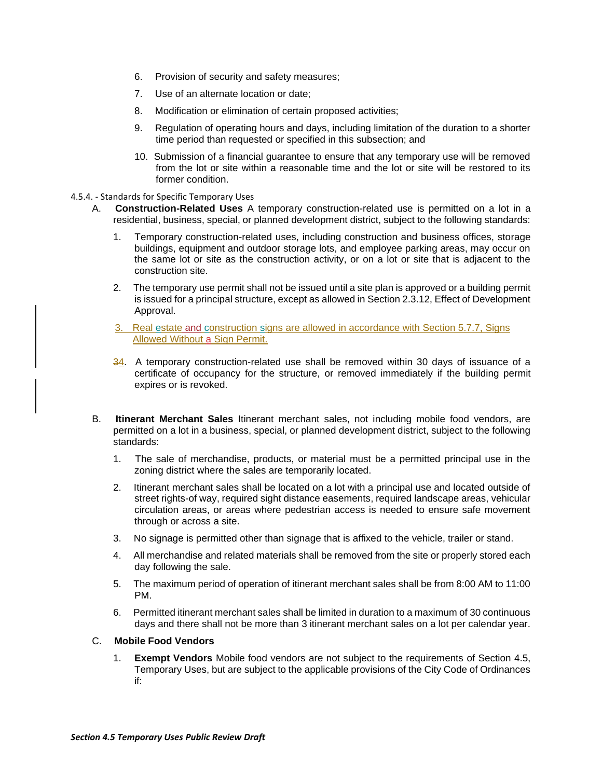- 6. Provision of security and safety measures;
- 7. Use of an alternate location or date;
- 8. Modification or elimination of certain proposed activities;
- 9. Regulation of operating hours and days, including limitation of the duration to a shorter time period than requested or specified in this subsection; and
- 10. Submission of a financial guarantee to ensure that any temporary use will be removed from the lot or site within a reasonable time and the lot or site will be restored to its former condition.

### 4.5.4. - Standards for Specific Temporary Uses

- A. **Construction-Related Uses** A temporary construction-related use is permitted on a lot in a residential, business, special, or planned development district, subject to the following standards:
	- 1. Temporary construction-related uses, including construction and business offices, storage buildings, equipment and outdoor storage lots, and employee parking areas, may occur on the same lot or site as the construction activity, or on a lot or site that is adjacent to the construction site.
	- 2. The temporary use permit shall not be issued until a site plan is approved or a building permit is issued for a principal structure, except as allowed in Section 2.3.12, Effect of Development Approval.
	- 3. Real estate and construction signs are allowed in accordance with Section 5.7.7, Signs Allowed Without a Sign Permit.
	- 34. A temporary construction-related use shall be removed within 30 days of issuance of a certificate of occupancy for the structure, or removed immediately if the building permit expires or is revoked.
- B. **Itinerant Merchant Sales** Itinerant merchant sales, not including mobile food vendors, are permitted on a lot in a business, special, or planned development district, subject to the following standards:
	- 1. The sale of merchandise, products, or material must be a permitted principal use in the zoning district where the sales are temporarily located.
	- 2. Itinerant merchant sales shall be located on a lot with a principal use and located outside of street rights-of way, required sight distance easements, required landscape areas, vehicular circulation areas, or areas where pedestrian access is needed to ensure safe movement through or across a site.
	- 3. No signage is permitted other than signage that is affixed to the vehicle, trailer or stand.
	- 4. All merchandise and related materials shall be removed from the site or properly stored each day following the sale.
	- 5. The maximum period of operation of itinerant merchant sales shall be from 8:00 AM to 11:00 PM.
	- 6. Permitted itinerant merchant sales shall be limited in duration to a maximum of 30 continuous days and there shall not be more than 3 itinerant merchant sales on a lot per calendar year.

# C. **Mobile Food Vendors**

1. **Exempt Vendors** Mobile food vendors are not subject to the requirements of Section 4.5, Temporary Uses, but are subject to the applicable provisions of the City Code of Ordinances if: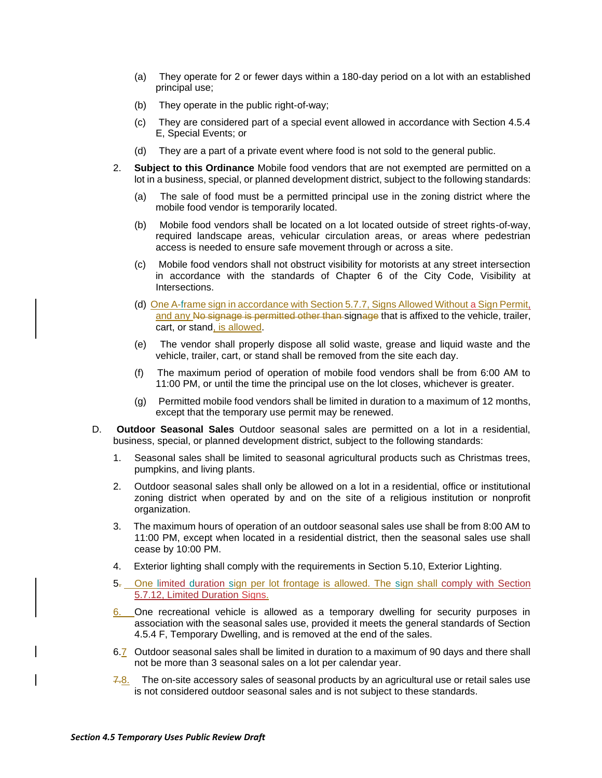- (a) They operate for 2 or fewer days within a 180-day period on a lot with an established principal use;
- (b) They operate in the public right-of-way;
- (c) They are considered part of a special event allowed in accordance with Section 4.5.4 E, Special Events; or
- (d) They are a part of a private event where food is not sold to the general public.
- 2. **Subject to this Ordinance** Mobile food vendors that are not exempted are permitted on a lot in a business, special, or planned development district, subject to the following standards:
	- (a) The sale of food must be a permitted principal use in the zoning district where the mobile food vendor is temporarily located.
	- (b) Mobile food vendors shall be located on a lot located outside of street rights-of-way, required landscape areas, vehicular circulation areas, or areas where pedestrian access is needed to ensure safe movement through or across a site.
	- (c) Mobile food vendors shall not obstruct visibility for motorists at any street intersection in accordance with the standards of Chapter 6 of the City Code, Visibility at Intersections.
	- (d) One A-frame sign in accordance with Section 5.7.7, Signs Allowed Without a Sign Permit, and any No signage is permitted other than signage that is affixed to the vehicle, trailer, cart, or stand, is allowed.
	- (e) The vendor shall properly dispose all solid waste, grease and liquid waste and the vehicle, trailer, cart, or stand shall be removed from the site each day.
	- (f) The maximum period of operation of mobile food vendors shall be from 6:00 AM to 11:00 PM, or until the time the principal use on the lot closes, whichever is greater.
	- (g) Permitted mobile food vendors shall be limited in duration to a maximum of 12 months, except that the temporary use permit may be renewed.
- D. **Outdoor Seasonal Sales** Outdoor seasonal sales are permitted on a lot in a residential, business, special, or planned development district, subject to the following standards:
	- 1. Seasonal sales shall be limited to seasonal agricultural products such as Christmas trees, pumpkins, and living plants.
	- 2. Outdoor seasonal sales shall only be allowed on a lot in a residential, office or institutional zoning district when operated by and on the site of a religious institution or nonprofit organization.
	- 3. The maximum hours of operation of an outdoor seasonal sales use shall be from 8:00 AM to 11:00 PM, except when located in a residential district, then the seasonal sales use shall cease by 10:00 PM.
	- 4. Exterior lighting shall comply with the requirements in Section 5.10, Exterior Lighting.
	- 5. One limited duration sign per lot frontage is allowed. The sign shall comply with Section 5.7.12, Limited Duration Signs.
	- 6. One recreational vehicle is allowed as a temporary dwelling for security purposes in association with the seasonal sales use, provided it meets the general standards of Section 4.5.4 F, Temporary Dwelling, and is removed at the end of the sales.
	- 6.7 Outdoor seasonal sales shall be limited in duration to a maximum of 90 days and there shall not be more than 3 seasonal sales on a lot per calendar year.
	- $7.8$ . The on-site accessory sales of seasonal products by an agricultural use or retail sales use is not considered outdoor seasonal sales and is not subject to these standards.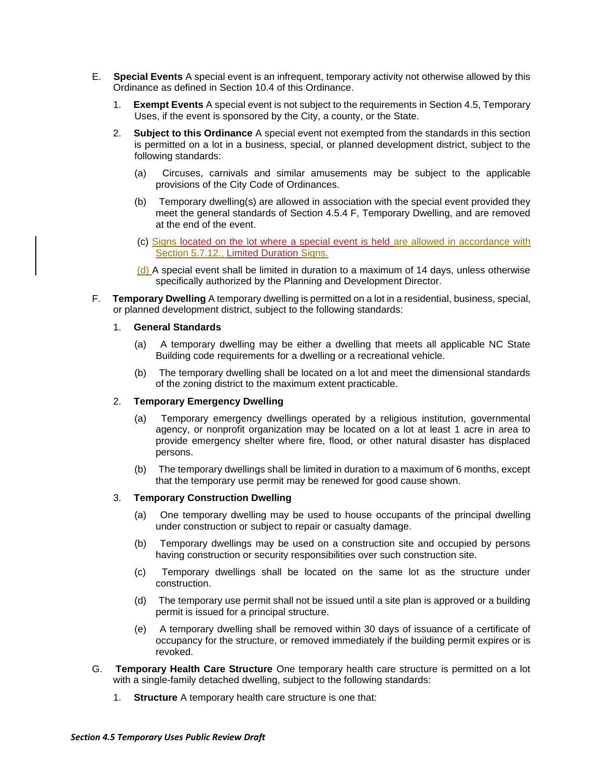- E. **Special Events** A special event is an infrequent, temporary activity not otherwise allowed by this Ordinance as defined in Section 10.4 of this Ordinance.
	- 1. **Exempt Events** A special event is not subject to the requirements in Section 4.5, Temporary Uses, if the event is sponsored by the City, a county, or the State.
	- 2. **Subject to this Ordinance** A special event not exempted from the standards in this section is permitted on a lot in a business, special, or planned development district, subject to the following standards:
		- (a) Circuses, carnivals and similar amusements may be subject to the applicable provisions of the City Code of Ordinances.
		- (b) Temporary dwelling(s) are allowed in association with the special event provided they meet the general standards of Section 4.5.4 F, Temporary Dwelling, and are removed at the end of the event.
		- (c) Signs located on the lot where a special event is held are allowed in accordance with Section 5.7.12., Limited Duration Signs.
		- $(d)$  A special event shall be limited in duration to a maximum of 14 days, unless otherwise specifically authorized by the Planning and Development Director.
- F. **Temporary Dwelling** A temporary dwelling is permitted on a lot in a residential, business, special, or planned development district, subject to the following standards:

### 1. **General Standards**

- (a) A temporary dwelling may be either a dwelling that meets all applicable NC State Building code requirements for a dwelling or a recreational vehicle.
- (b) The temporary dwelling shall be located on a lot and meet the dimensional standards of the zoning district to the maximum extent practicable.

# 2. **Temporary Emergency Dwelling**

- (a) Temporary emergency dwellings operated by a religious institution, governmental agency, or nonprofit organization may be located on a lot at least 1 acre in area to provide emergency shelter where fire, flood, or other natural disaster has displaced persons.
- (b) The temporary dwellings shall be limited in duration to a maximum of 6 months, except that the temporary use permit may be renewed for good cause shown.

#### 3. **Temporary Construction Dwelling**

- (a) One temporary dwelling may be used to house occupants of the principal dwelling under construction or subject to repair or casualty damage.
- (b) Temporary dwellings may be used on a construction site and occupied by persons having construction or security responsibilities over such construction site.
- (c) Temporary dwellings shall be located on the same lot as the structure under construction.
- (d) The temporary use permit shall not be issued until a site plan is approved or a building permit is issued for a principal structure.
- (e) A temporary dwelling shall be removed within 30 days of issuance of a certificate of occupancy for the structure, or removed immediately if the building permit expires or is revoked.
- G. **Temporary Health Care Structure** One temporary health care structure is permitted on a lot with a single-family detached dwelling, subject to the following standards:
	- 1. **Structure** A temporary health care structure is one that: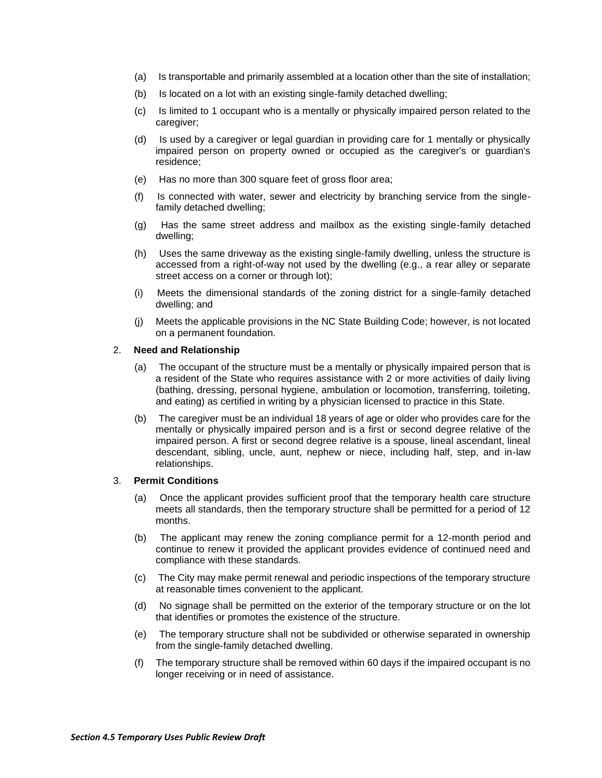- (a) Is transportable and primarily assembled at a location other than the site of installation;
- (b) Is located on a lot with an existing single-family detached dwelling;
- (c) Is limited to 1 occupant who is a mentally or physically impaired person related to the caregiver;
- (d) Is used by a caregiver or legal guardian in providing care for 1 mentally or physically impaired person on property owned or occupied as the caregiver's or guardian's residence;
- (e) Has no more than 300 square feet of gross floor area;
- (f) Is connected with water, sewer and electricity by branching service from the singlefamily detached dwelling;
- (g) Has the same street address and mailbox as the existing single-family detached dwelling;
- (h) Uses the same driveway as the existing single-family dwelling, unless the structure is accessed from a right-of-way not used by the dwelling (e.g., a rear alley or separate street access on a corner or through lot);
- (i) Meets the dimensional standards of the zoning district for a single-family detached dwelling; and
- (j) Meets the applicable provisions in the NC State Building Code; however, is not located on a permanent foundation.

### 2. **Need and Relationship**

- (a) The occupant of the structure must be a mentally or physically impaired person that is a resident of the State who requires assistance with 2 or more activities of daily living (bathing, dressing, personal hygiene, ambulation or locomotion, transferring, toileting, and eating) as certified in writing by a physician licensed to practice in this State.
- (b) The caregiver must be an individual 18 years of age or older who provides care for the mentally or physically impaired person and is a first or second degree relative of the impaired person. A first or second degree relative is a spouse, lineal ascendant, lineal descendant, sibling, uncle, aunt, nephew or niece, including half, step, and in-law relationships.

# 3. **Permit Conditions**

- (a) Once the applicant provides sufficient proof that the temporary health care structure meets all standards, then the temporary structure shall be permitted for a period of 12 months.
- (b) The applicant may renew the zoning compliance permit for a 12-month period and continue to renew it provided the applicant provides evidence of continued need and compliance with these standards.
- (c) The City may make permit renewal and periodic inspections of the temporary structure at reasonable times convenient to the applicant.
- (d) No signage shall be permitted on the exterior of the temporary structure or on the lot that identifies or promotes the existence of the structure.
- (e) The temporary structure shall not be subdivided or otherwise separated in ownership from the single-family detached dwelling.
- (f) The temporary structure shall be removed within 60 days if the impaired occupant is no longer receiving or in need of assistance.